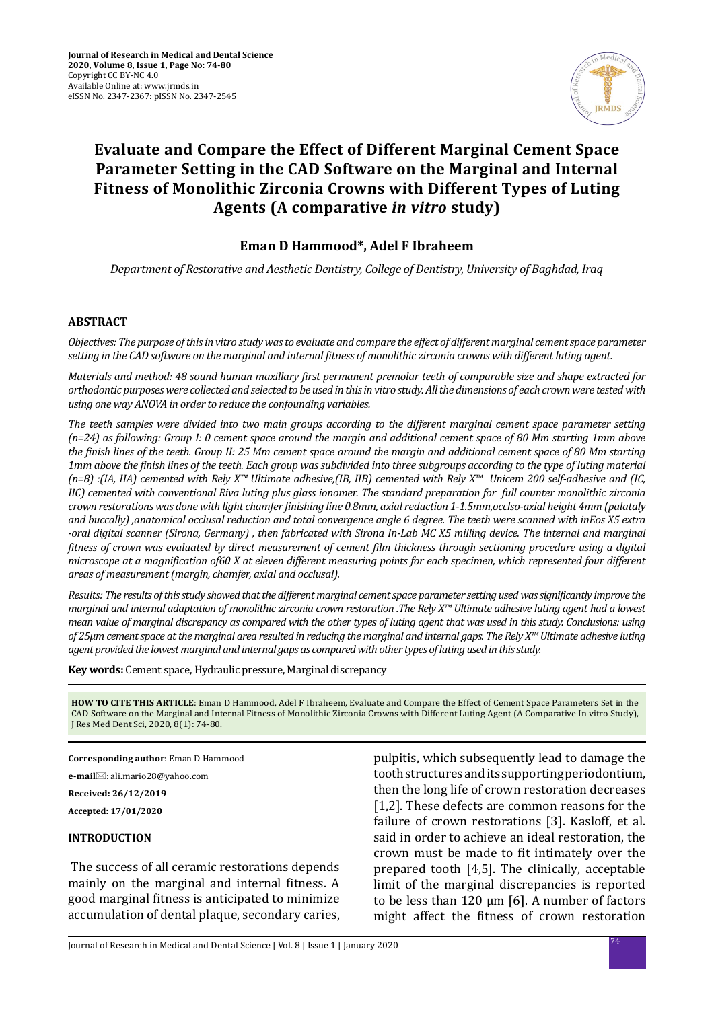

# **Evaluate and Compare the Effect of Different Marginal Cement Space Parameter Setting in the CAD Software on the Marginal and Internal Fitness of Monolithic Zirconia Crowns with Different Types of Luting Agents (A comparative** *in vitro* **study)**

### **Eman D Hammood\*, Adel F Ibraheem**

*Department of Restorative and Aesthetic Dentistry, College of Dentistry, University of Baghdad, Iraq*

### **ABSTRACT**

*Objectives: The purpose of this in vitro study was to evaluate and compare the effect of different marginal cement space parameter setting in the CAD software on the marginal and internal fitness of monolithic zirconia crowns with different luting agent.*

*Materials and method: 48 sound human maxillary first permanent premolar teeth of comparable size and shape extracted for orthodontic purposes were collected and selected to be used in this in vitro study. All the dimensions of each crown were tested with using one way ANOVA in order to reduce the confounding variables.*

*The teeth samples were divided into two main groups according to the different marginal cement space parameter setting (n=24) as following: Group I: 0 cement space around the margin and additional cement space of 80 Mm starting 1mm above the finish lines of the teeth. Group II: 25 Mm cement space around the margin and additional cement space of 80 Mm starting 1mm above the finish lines of the teeth. Each group was subdivided into three subgroups according to the type of luting material (n=8) :(IA, IIA) cemented with Rely X™ Ultimate adhesive,(IB, IIB) cemented with Rely X™ Unicem 200 self-adhesive and (IC, IIC) cemented with conventional Riva luting plus glass ionomer. The standard preparation for full counter monolithic zirconia crown restorations was done with light chamfer finishing line 0.8mm, axial reduction 1-1.5mm,occlso-axial height 4mm (palataly and buccally) ,anatomical occlusal reduction and total convergence angle 6 degree. The teeth were scanned with inEos X5 extra -oral digital scanner (Sirona, Germany) , then fabricated with Sirona In-Lab MC X5 milling device. The internal and marginal fitness of crown was evaluated by direct measurement of cement film thickness through sectioning procedure using a digital microscope at a magnification of60 X at eleven different measuring points for each specimen, which represented four different areas of measurement (margin, chamfer, axial and occlusal).*

*Results: The results of this study showed that the different marginal cement space parameter setting used was significantly improve the marginal and internal adaptation of monolithic zirconia crown restoration .The Rely X™ Ultimate adhesive luting agent had a lowest mean value of marginal discrepancy as compared with the other types of luting agent that was used in this study. Conclusions: using of 25μm cement space at the marginal area resulted in reducing the marginal and internal gaps. The Rely X™ Ultimate adhesive luting agent provided the lowest marginal and internal gaps as compared with other types of luting used in this study.*

**Key words:** Cement space, Hydraulic pressure, Marginal discrepancy

**HOW TO CITE THIS ARTICLE**: Eman D Hammood, Adel F Ibraheem, Evaluate and Compare the Effect of Cement Space Parameters Set in the CAD Software on the Marginal and Internal Fitness of Monolithic Zirconia Crowns with Different Luting Agent (A Comparative In vitro Study), J Res Med Dent Sci, 2020, 8(1): 74-80.

**Corresponding author**: Eman D Hammood

**e-mail**⊠: ali.mario28@yahoo.com

**Received: 26/12/2019**

**Accepted: 17/01/2020**

### **INTRODUCTION**

 The success of all ceramic restorations depends mainly on the marginal and internal fitness. A good marginal fitness is anticipated to minimize accumulation of dental plaque, secondary caries, pulpitis, which subsequently lead to damage the tooth structures and its supporting periodontium, then the long life of crown restoration decreases [1,2]. These defects are common reasons for the failure of crown restorations [3]. Kasloff, et al. said in order to achieve an ideal restoration, the crown must be made to fit intimately over the prepared tooth [4,5]. The clinically, acceptable limit of the marginal discrepancies is reported to be less than 120 μm [6]. A number of factors might affect the fitness of crown restoration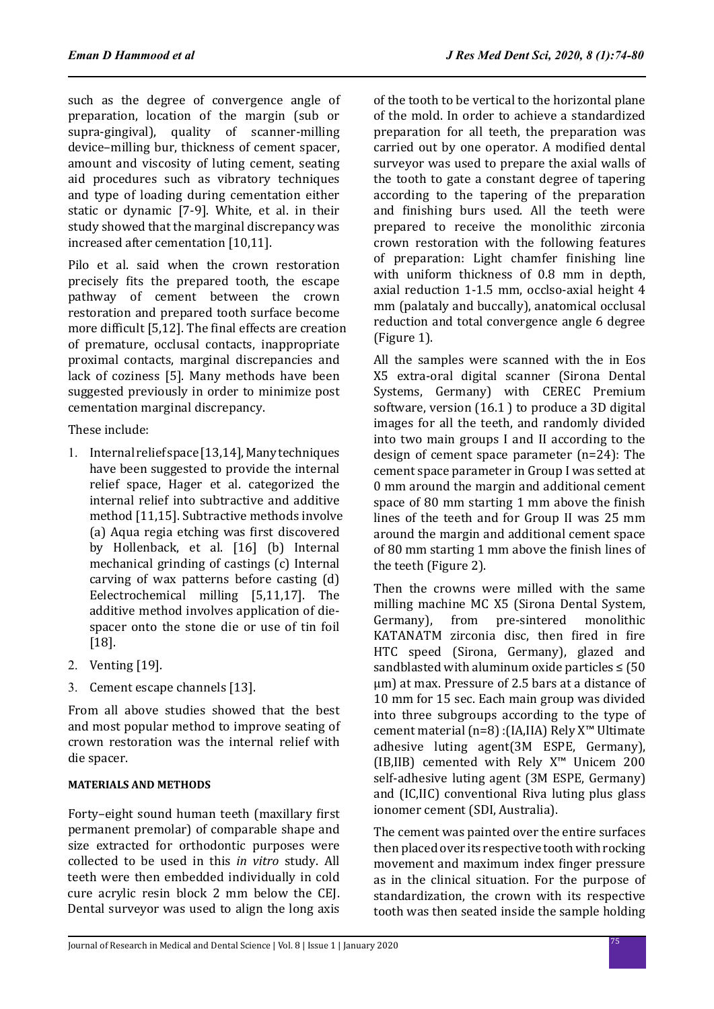such as the degree of convergence angle of preparation, location of the margin (sub or supra-gingival), quality of scanner-milling device–milling bur, thickness of cement spacer, amount and viscosity of luting cement, seating aid procedures such as vibratory techniques and type of loading during cementation either static or dynamic [7-9]. White, et al. in their study showed that the marginal discrepancy was increased after cementation [10,11].

Pilo et al. said when the crown restoration precisely fits the prepared tooth, the escape pathway of cement between the crown restoration and prepared tooth surface become more difficult [5,12]. The final effects are creation of premature, occlusal contacts, inappropriate proximal contacts, marginal discrepancies and lack of coziness [5]. Many methods have been suggested previously in order to minimize post cementation marginal discrepancy.

These include:

- 1. Internal relief space [13,14], Many techniques have been suggested to provide the internal relief space, Hager et al. categorized the internal relief into subtractive and additive method [11,15]. Subtractive methods involve (a) Aqua regia etching was first discovered by Hollenback, et al. [16] (b) Internal mechanical grinding of castings (c) Internal carving of wax patterns before casting (d) Eelectrochemical milling [5,11,17]. The additive method involves application of diespacer onto the stone die or use of tin foil [18].
- 2. Venting [19].
- 3. Cement escape channels [13].

From all above studies showed that the best and most popular method to improve seating of crown restoration was the internal relief with die spacer.

## **MATERIALS AND METHODS**

Forty–eight sound human teeth (maxillary first permanent premolar) of comparable shape and size extracted for orthodontic purposes were collected to be used in this *in vitro* study. All teeth were then embedded individually in cold cure acrylic resin block 2 mm below the CEJ. Dental surveyor was used to align the long axis of the tooth to be vertical to the horizontal plane of the mold. In order to achieve a standardized preparation for all teeth, the preparation was carried out by one operator. A modified dental surveyor was used to prepare the axial walls of the tooth to gate a constant degree of tapering according to the tapering of the preparation and finishing burs used. All the teeth were prepared to receive the monolithic zirconia crown restoration with the following features of preparation: Light chamfer finishing line with uniform thickness of 0.8 mm in depth, axial reduction 1-1.5 mm, occlso-axial height 4 mm (palataly and buccally), anatomical occlusal reduction and total convergence angle 6 degree (Figure 1).

All the samples were scanned with the in Eos X5 extra-oral digital scanner (Sirona Dental Systems, Germany) with CEREC Premium software, version (16.1 ) to produce a 3D digital images for all the teeth, and randomly divided into two main groups I and II according to the design of cement space parameter (n=24): The cement space parameter in Group I was setted at 0 mm around the margin and additional cement space of 80 mm starting 1 mm above the finish lines of the teeth and for Group II was 25 mm around the margin and additional cement space of 80 mm starting 1 mm above the finish lines of the teeth (Figure 2).

Then the crowns were milled with the same milling machine MC X5 (Sirona Dental System,<br>Germany), from pre-sintered monolithic pre-sintered KATANATM zirconia disc, then fired in fire HTC speed (Sirona, Germany), glazed and sandblasted with aluminum oxide particles  $\leq$  (50 μm) at max. Pressure of 2.5 bars at a distance of 10 mm for 15 sec. Each main group was divided into three subgroups according to the type of cement material (n=8) :(IA,IIA) Rely X™ Ultimate adhesive luting agent(3M ESPE, Germany), (IB,IIB) cemented with Rely X™ Unicem 200 self-adhesive luting agent (3M ESPE, Germany) and (IC,IIC) conventional Riva luting plus glass ionomer cement (SDI, Australia).

The cement was painted over the entire surfaces then placed over its respective tooth with rocking movement and maximum index finger pressure as in the clinical situation. For the purpose of standardization, the crown with its respective tooth was then seated inside the sample holding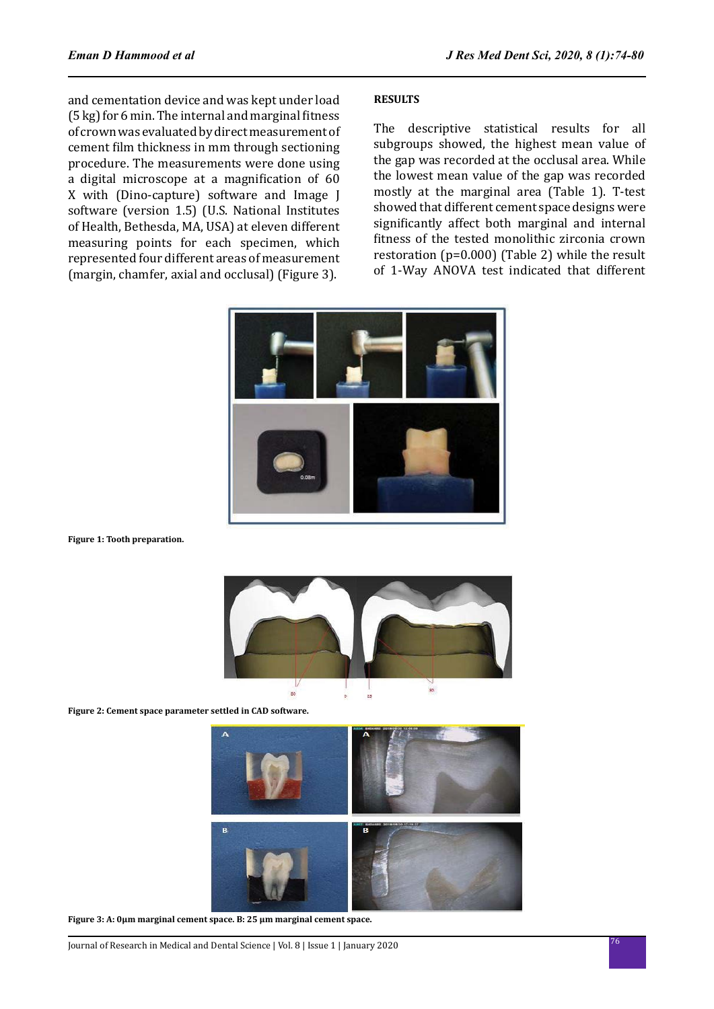and cementation device and was kept under load (5 kg) for 6 min. The internal and marginal fitness of crown was evaluated by direct measurement of cement film thickness in mm through sectioning procedure. The measurements were done using a digital microscope at a magnification of 60 X with (Dino-capture) software and Image J software (version 1.5) (U.S. National Institutes of Health, Bethesda, MA, USA) at eleven different measuring points for each specimen, which represented four different areas of measurement (margin, chamfer, axial and occlusal) (Figure 3).

### **RESULTS**

The descriptive statistical results for all subgroups showed, the highest mean value of the gap was recorded at the occlusal area. While the lowest mean value of the gap was recorded mostly at the marginal area (Table 1). T-test showed that different cement space designs were significantly affect both marginal and internal fitness of the tested monolithic zirconia crown restoration (p=0.000) (Table 2) while the result of 1-Way ANOVA test indicated that different



**Figure 1: Tooth preparation.**



**Figure 2: Cement space parameter settled in CAD software.**



**Figure 3: A: 0μm marginal cement space. B: 25 μm marginal cement space.**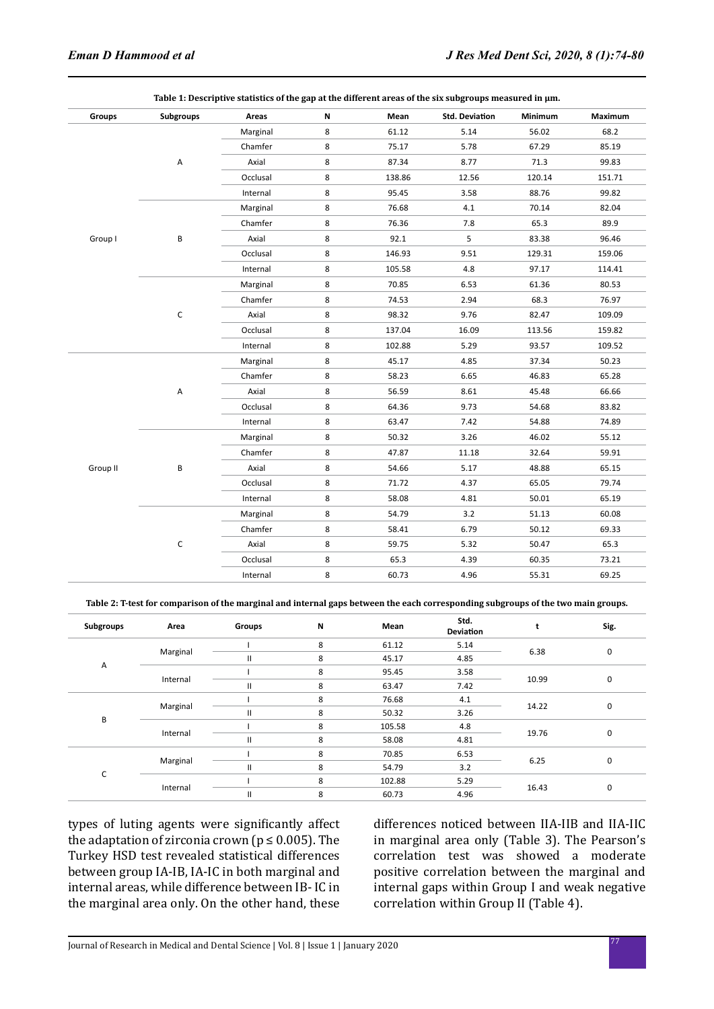| Groups   | Subgroups                                                                                                                                                                                                                                                                                                                                                       | Areas    | N     | Mean   | <b>Std. Deviation</b> | Minimum | Maximum |
|----------|-----------------------------------------------------------------------------------------------------------------------------------------------------------------------------------------------------------------------------------------------------------------------------------------------------------------------------------------------------------------|----------|-------|--------|-----------------------|---------|---------|
|          |                                                                                                                                                                                                                                                                                                                                                                 | Marginal | 8     | 61.12  | 5.14                  | 56.02   | 68.2    |
|          |                                                                                                                                                                                                                                                                                                                                                                 | Chamfer  | 8     | 75.17  | 5.78                  | 67.29   | 85.19   |
|          | А                                                                                                                                                                                                                                                                                                                                                               | Axial    | 8     | 87.34  | 8.77                  | 71.3    | 99.83   |
|          |                                                                                                                                                                                                                                                                                                                                                                 | Occlusal | 8     | 138.86 | 12.56                 | 120.14  | 151.71  |
|          |                                                                                                                                                                                                                                                                                                                                                                 | Internal | 8     | 95.45  | 3.58                  | 88.76   | 99.82   |
|          |                                                                                                                                                                                                                                                                                                                                                                 | Marginal | 8     | 76.68  | 4.1                   | 70.14   | 82.04   |
|          |                                                                                                                                                                                                                                                                                                                                                                 | Chamfer  | 8     | 76.36  | 7.8                   | 65.3    | 89.9    |
| Group I  | В                                                                                                                                                                                                                                                                                                                                                               | Axial    | 8     | 92.1   | 5                     | 83.38   | 96.46   |
|          |                                                                                                                                                                                                                                                                                                                                                                 | Occlusal | 8     | 146.93 | 9.51                  | 129.31  | 159.06  |
|          |                                                                                                                                                                                                                                                                                                                                                                 | Internal | 8     | 105.58 | 4.8                   | 97.17   | 114.41  |
|          | 8<br>70.85<br>6.53<br>Marginal<br>Chamfer<br>8<br>74.53<br>2.94<br>$\mathsf C$<br>Axial<br>8<br>9.76<br>98.32<br>8<br>Occlusal<br>137.04<br>16.09<br>8<br>Internal<br>102.88<br>5.29<br>8<br>45.17<br>4.85<br>Marginal<br>8<br>Chamfer<br>58.23<br>6.65<br>8<br>А<br>Axial<br>56.59<br>8.61<br>Occlusal<br>8<br>64.36<br>9.73<br>8<br>63.47<br>Internal<br>7.42 |          |       |        |                       | 61.36   | 80.53   |
|          |                                                                                                                                                                                                                                                                                                                                                                 |          |       |        |                       | 68.3    | 76.97   |
|          |                                                                                                                                                                                                                                                                                                                                                                 |          |       |        |                       | 82.47   | 109.09  |
|          |                                                                                                                                                                                                                                                                                                                                                                 |          |       |        |                       | 113.56  | 159.82  |
|          |                                                                                                                                                                                                                                                                                                                                                                 |          | 93.57 | 109.52 |                       |         |         |
|          |                                                                                                                                                                                                                                                                                                                                                                 |          |       |        |                       | 37.34   | 50.23   |
|          |                                                                                                                                                                                                                                                                                                                                                                 |          |       |        |                       | 46.83   | 65.28   |
|          |                                                                                                                                                                                                                                                                                                                                                                 |          |       |        |                       | 45.48   | 66.66   |
|          |                                                                                                                                                                                                                                                                                                                                                                 |          |       |        |                       | 54.68   | 83.82   |
|          |                                                                                                                                                                                                                                                                                                                                                                 |          |       |        |                       | 54.88   | 74.89   |
|          | В                                                                                                                                                                                                                                                                                                                                                               | Marginal | 8     | 50.32  | 3.26                  | 46.02   | 55.12   |
|          |                                                                                                                                                                                                                                                                                                                                                                 | Chamfer  | 8     | 47.87  | 11.18                 | 32.64   | 59.91   |
| Group II |                                                                                                                                                                                                                                                                                                                                                                 | Axial    | 8     | 54.66  | 5.17                  | 48.88   | 65.15   |
|          |                                                                                                                                                                                                                                                                                                                                                                 | Occlusal | 8     | 71.72  | 4.37                  | 65.05   | 79.74   |
|          |                                                                                                                                                                                                                                                                                                                                                                 | Internal | 8     | 58.08  | 4.81                  | 50.01   | 65.19   |
|          | С                                                                                                                                                                                                                                                                                                                                                               | Marginal | 8     | 54.79  | 3.2                   | 51.13   | 60.08   |
|          |                                                                                                                                                                                                                                                                                                                                                                 | Chamfer  | 8     | 58.41  | 6.79                  | 50.12   | 69.33   |
|          |                                                                                                                                                                                                                                                                                                                                                                 | Axial    | 8     | 59.75  | 5.32                  | 50.47   | 65.3    |
|          |                                                                                                                                                                                                                                                                                                                                                                 | Occlusal | 8     | 65.3   | 4.39                  | 60.35   | 73.21   |
|          |                                                                                                                                                                                                                                                                                                                                                                 | Internal | 8     | 60.73  | 4.96                  | 55.31   | 69.25   |

**Table 1: Descriptive statistics of the gap at the different areas of the six subgroups measured in μm.**

**Table 2: T-test for comparison of the marginal and internal gaps between the each corresponding subgroups of the two main groups.**

| Subgroups | Area     | Groups        | N | Mean   | Std.<br><b>Deviation</b> |       | Sig. |
|-----------|----------|---------------|---|--------|--------------------------|-------|------|
| Α         | Marginal |               | 8 | 61.12  | 5.14                     | 6.38  | 0    |
|           |          | $\mathbf{I}$  | 8 | 45.17  | 4.85                     |       |      |
|           | Internal |               | 8 | 95.45  | 3.58                     | 10.99 | 0    |
|           |          | $\mathbf{I}$  | 8 | 63.47  | 7.42                     |       |      |
| В         | Marginal |               | 8 | 76.68  | 4.1                      |       | 0    |
|           |          | $\mathbf{I}$  | 8 | 50.32  | 3.26                     | 14.22 |      |
|           | Internal |               | 8 | 105.58 | 4.8                      | 19.76 | 0    |
|           |          | $\mathbf{H}$  | 8 | 58.08  | 4.81                     |       |      |
| с         | Marginal |               | 8 | 70.85  | 6.53                     |       |      |
|           |          | $\mathbf{II}$ | 8 | 54.79  | 3.2                      | 6.25  | 0    |
|           | Internal |               | 8 | 102.88 | 5.29                     | 16.43 |      |
|           |          | $\mathsf{II}$ | 8 | 60.73  | 4.96                     |       | 0    |

types of luting agents were significantly affect the adaptation of zirconia crown ( $p \le 0.005$ ). The Turkey HSD test revealed statistical differences between group IA-IB, IA-IC in both marginal and internal areas, while difference between IB- IC in the marginal area only. On the other hand, these differences noticed between IIA-IIB and IIA-IIC in marginal area only (Table 3). The Pearson's correlation test was showed a moderate positive correlation between the marginal and internal gaps within Group I and weak negative correlation within Group II (Table 4).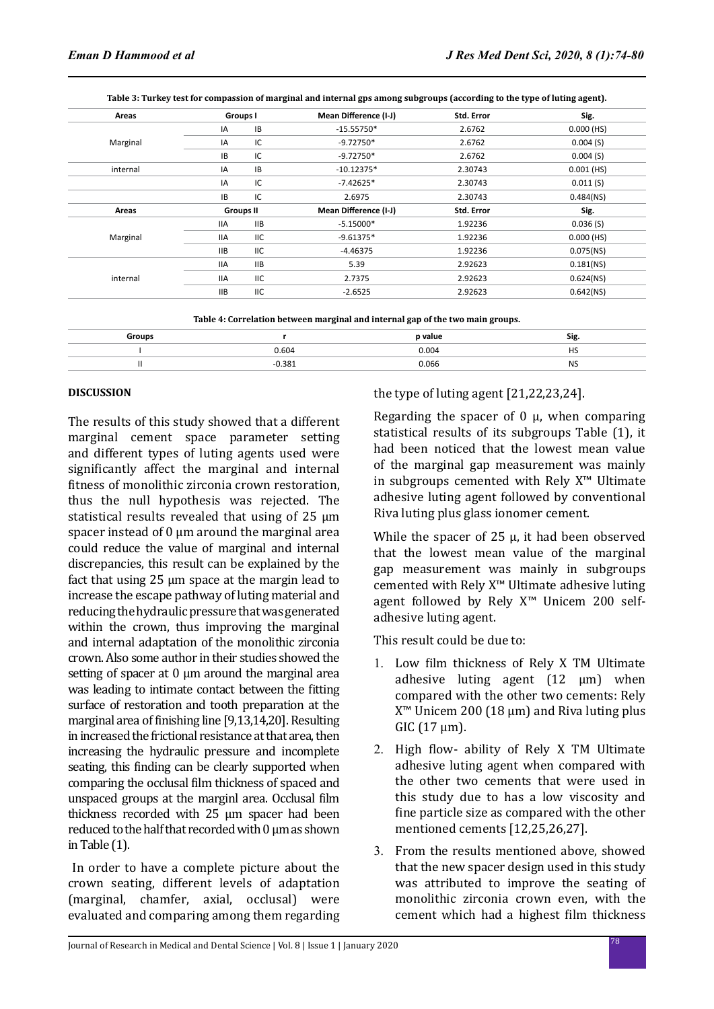|  |  |  | Table 3: Turkey test for compassion of marginal and internal gps among subgroups (according to the type of luting agent). |
|--|--|--|---------------------------------------------------------------------------------------------------------------------------|
|--|--|--|---------------------------------------------------------------------------------------------------------------------------|

| Areas    | Groups I         |            | Mean Difference (I-J) | Std. Error | Sig.         |  |
|----------|------------------|------------|-----------------------|------------|--------------|--|
|          | IA               | IB         | $-15.55750*$          | 2.6762     | $0.000$ (HS) |  |
| Marginal | IA               | IC         | $-9.72750*$           | 2.6762     | 0.004(S)     |  |
|          | <b>IB</b>        | IC         | $-9.72750*$           | 2.6762     | 0.004(S)     |  |
| internal | IA               | IB         | $-10.12375*$          | 2.30743    | $0.001$ (HS) |  |
|          | IA               | IC         | $-7.42625*$           | 2.30743    | 0.011(S)     |  |
|          | IB               | IC         | 2.6975                | 2.30743    | $0.484$ (NS) |  |
| Areas    | <b>Groups II</b> |            | Mean Difference (I-J) | Std. Error | Sig.         |  |
|          | <b>IIA</b>       | IIB        | $-5.15000*$           | 1.92236    | 0.036(S)     |  |
| Marginal | <b>IIA</b>       | ШC         | $-9.61375*$           | 1.92236    | $0.000$ (HS) |  |
|          | <b>IIB</b>       | <b>IIC</b> | $-4.46375$            | 1.92236    | $0.075$ (NS) |  |
|          | <b>IIA</b>       | IIB        | 5.39                  | 2.92623    | $0.181$ (NS) |  |
| internal | <b>IIA</b>       | IIC        | 2.7375                | 2.92623    | $0.624$ (NS) |  |
|          | <b>IIB</b>       | IIC        | $-2.6525$             | 2.92623    | $0.642$ (NS) |  |

| <b>Groups</b> |       | p value | .<br>- - - |
|---------------|-------|---------|------------|
|               | 0.604 | 0.004   |            |
|               | 0.381 | 0.066   | .          |

### **DISCUSSION**

The results of this study showed that a different marginal cement space parameter setting and different types of luting agents used were significantly affect the marginal and internal fitness of monolithic zirconia crown restoration, thus the null hypothesis was rejected. The statistical results revealed that using of 25 μm spacer instead of 0 μm around the marginal area could reduce the value of marginal and internal discrepancies, this result can be explained by the fact that using 25 μm space at the margin lead to increase the escape pathway of luting material and reducing the hydraulic pressure that was generated within the crown, thus improving the marginal and internal adaptation of the monolithic zirconia crown. Also some author in their studies showed the setting of spacer at  $0 \mu$ m around the marginal area was leading to intimate contact between the fitting surface of restoration and tooth preparation at the marginal area of finishing line [9,13,14,20]. Resulting in increased the frictional resistance at that area, then increasing the hydraulic pressure and incomplete seating, this finding can be clearly supported when comparing the occlusal film thickness of spaced and unspaced groups at the marginl area. Occlusal film thickness recorded with 25 μm spacer had been reduced to the half that recorded with 0 μm as shown in Table (1).

 In order to have a complete picture about the crown seating, different levels of adaptation (marginal, chamfer, axial, occlusal) were evaluated and comparing among them regarding the type of luting agent [21,22,23,24].

Regarding the spacer of 0 μ, when comparing statistical results of its subgroups Table (1), it had been noticed that the lowest mean value of the marginal gap measurement was mainly in subgroups cemented with Rely X™ Ultimate adhesive luting agent followed by conventional Riva luting plus glass ionomer cement.

While the spacer of  $25 \mu$ , it had been observed that the lowest mean value of the marginal gap measurement was mainly in subgroups cemented with Rely X™ Ultimate adhesive luting agent followed by Rely X™ Unicem 200 selfadhesive luting agent.

This result could be due to:

- 1. Low film thickness of Rely X TM Ultimate adhesive luting agent  $(12 \mu m)$  when compared with the other two cements: Rely  $X^{\text{m}}$  Unicem 200 (18  $\mu$ m) and Riva luting plus GIC  $(17 \mu m)$ .
- 2. High flow- ability of Rely X TM Ultimate adhesive luting agent when compared with the other two cements that were used in this study due to has a low viscosity and fine particle size as compared with the other mentioned cements [12,25,26,27].
- 3. From the results mentioned above, showed that the new spacer design used in this study was attributed to improve the seating of monolithic zirconia crown even, with the cement which had a highest film thickness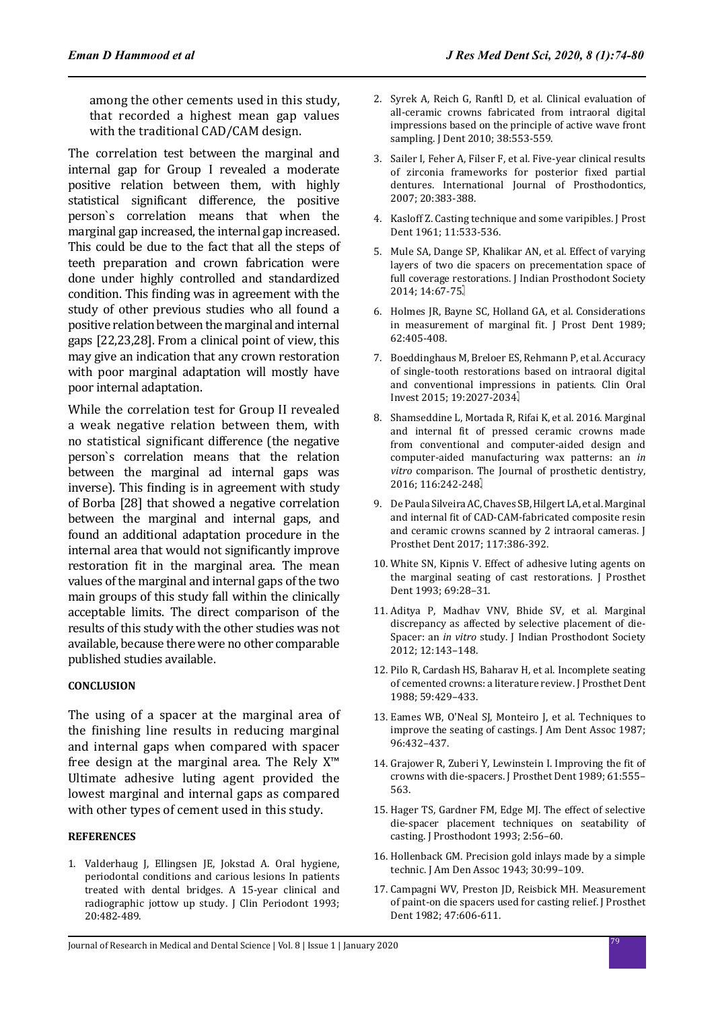among the other cements used in this study, that recorded a highest mean gap values with the traditional CAD/CAM design.

The correlation test between the marginal and internal gap for Group I revealed a moderate positive relation between them, with highly statistical significant difference, the positive person`s correlation means that when the marginal gap increased, the internal gap increased. This could be due to the fact that all the steps of teeth preparation and crown fabrication were done under highly controlled and standardized condition. This finding was in agreement with the study of other previous studies who all found a positive relation between the marginal and internal gaps [22,23,28]. From a clinical point of view, this may give an indication that any crown restoration with poor marginal adaptation will mostly have poor internal adaptation.

While the correlation test for Group II revealed a weak negative relation between them, with no statistical significant difference (the negative person`s correlation means that the relation between the marginal ad internal gaps was inverse). This finding is in agreement with study of Borba [28] that showed a negative correlation between the marginal and internal gaps, and found an additional adaptation procedure in the internal area that would not significantly improve restoration fit in the marginal area. The mean values of the marginal and internal gaps of the two main groups of this study fall within the clinically acceptable limits. The direct comparison of the results of this study with the other studies was not available, because there were no other comparable published studies available.

### **CONCLUSION**

The using of a spacer at the marginal area of the finishing line results in reducing marginal and internal gaps when compared with spacer free design at the marginal area. The Rely X™ Ultimate adhesive luting agent provided the lowest marginal and internal gaps as compared with other types of cement used in this study.

#### **REFERENCES**

1. Valderhaug J, Ellingsen JE, Jokstad A. Oral hygiene, periodontal conditions and carious lesions In patients treated with dental bridges. A 15-year clinical and radiographic jottow up study. J Clin Periodont 1993; 20:482-489.

- 2. Syrek A, Reich G, Ranftl D, et al. Clinical evaluation of all-ceramic crowns fabricated from intraoral digital impressions based on the principle of active wave front sampling. J Dent 2010; 38:553-559.
- 3. Sailer I, Feher A, Filser F, et al. Five-year clinical results of zirconia frameworks for posterior fixed partial dentures. International Journal of Prosthodontics, 2007; 20:383-388.
- 4. Kasloff Z. Casting technique and some varipibles. J Prost Dent 1961; 11:533-536.
- 5. Mule SA, Dange SP, Khalikar AN, et al. Effect of varying layers of two die spacers on precementation space of full coverage restorations. J Indian Prosthodont Society 2014; 14:67-75.
- 6. Holmes JR, Bayne SC, Holland GA, et al. Considerations in measurement of marginal fit. J Prost Dent 1989; 62:405-408.
- 7. Boeddinghaus M, Breloer ES, Rehmann P, et al. Accuracy of single-tooth restorations based on intraoral digital and conventional impressions in patients. Clin Oral Invest 2015; 19:2027-2034.
- 8. Shamseddine L, Mortada R, Rifai K, et al. 2016. Marginal and internal fit of pressed ceramic crowns made from conventional and computer-aided design and computer-aided manufacturing wax patterns: an *in vitro* comparison. The Journal of prosthetic dentistry, 2016: 116:242-248.
- 9. De Paula Silveira AC, Chaves SB, Hilgert LA, et al. Marginal and internal fit of CAD-CAM-fabricated composite resin and ceramic crowns scanned by 2 intraoral cameras. J Prosthet Dent 2017; 117:386-392.
- 10. White SN, Kipnis V. Effect of adhesive luting agents on the marginal seating of cast restorations. J Prosthet Dent 1993; 69:28–31.
- 11. Aditya P, Madhav VNV, Bhide SV, et al. Marginal discrepancy as affected by selective placement of die-Spacer: an *in vitro* study. J Indian Prosthodont Society 2012; 12:143–148.
- 12. Pilo R, Cardash HS, Baharav H, et al. Incomplete seating of cemented crowns: a literature review. J Prosthet Dent 1988; 59:429–433.
- 13. Eames WB, O'Neal SJ, Monteiro J, et al. Techniques to improve the seating of castings. J Am Dent Assoc 1987; 96:432–437.
- 14. Grajower R, Zuberi Y, Lewinstein I. Improving the fit of crowns with die-spacers. J Prosthet Dent 1989; 61:555– 563.
- 15. Hager TS, Gardner FM, Edge MJ. The effect of selective die-spacer placement techniques on seatability of casting. J Prosthodont 1993; 2:56–60.
- 16. Hollenback GM. Precision gold inlays made by a simple technic. J Am Den Assoc 1943; 30:99–109.
- 17. Campagni WV, Preston JD, Reisbick MH. Measurement of paint-on die spacers used for casting relief. J Prosthet Dent 1982; 47:606-611.